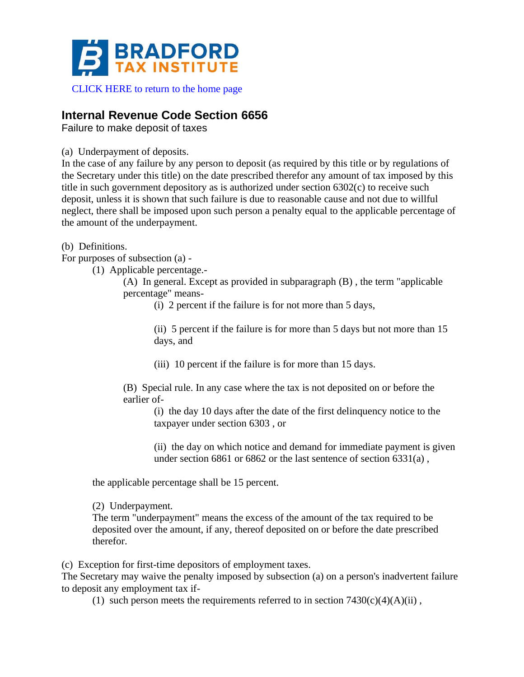

## [CLICK HERE to return to the home page](https://www.bradfordtaxinstitute.com)

## **Internal Revenue Code Section 6656**

Failure to make deposit of taxes

(a) Underpayment of deposits.

In the case of any failure by any person to deposit (as required by this title or by regulations of the Secretary under this title) on the date prescribed therefor any amount of tax imposed by this title in such government depository as is authorized under section 6302(c) to receive such deposit, unless it is shown that such failure is due to reasonable cause and not due to willful neglect, there shall be imposed upon such person a penalty equal to the applicable percentage of the amount of the underpayment.

(b) Definitions.

For purposes of subsection (a) -

(1) Applicable percentage.-

(A) In general. Except as provided in subparagraph (B) , the term "applicable percentage" means-

(i) 2 percent if the failure is for not more than 5 days,

(ii) 5 percent if the failure is for more than 5 days but not more than 15 days, and

(iii) 10 percent if the failure is for more than 15 days.

(B) Special rule. In any case where the tax is not deposited on or before the earlier of-

(i) the day 10 days after the date of the first delinquency notice to the taxpayer under section 6303 , or

(ii) the day on which notice and demand for immediate payment is given under section 6861 or 6862 or the last sentence of section 6331(a) ,

the applicable percentage shall be 15 percent.

(2) Underpayment.

The term "underpayment" means the excess of the amount of the tax required to be deposited over the amount, if any, thereof deposited on or before the date prescribed therefor.

(c) Exception for first-time depositors of employment taxes.

The Secretary may waive the penalty imposed by subsection (a) on a person's inadvertent failure to deposit any employment tax if-

(1) such person meets the requirements referred to in section  $7430(c)(4)(A)(ii)$ ,